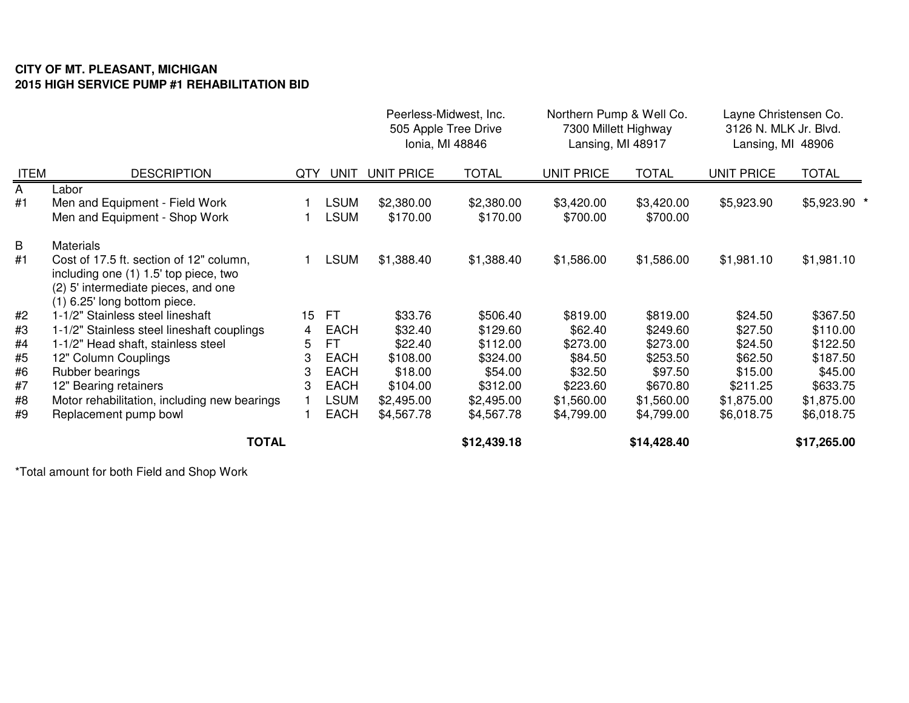## **CITY OF MT. PLEASANT, MICHIGAN 2015 HIGH SERVICE PUMP #1 REHABILITATION BID**

|             |                                                                                                                                                           |     |                            | Peerless-Midwest, Inc.<br>505 Apple Tree Drive<br>Ionia, MI 48846 |                        | Northern Pump & Well Co.<br>7300 Millett Highway<br>Lansing, MI 48917 |                        | Layne Christensen Co.<br>3126 N. MLK Jr. Blvd.<br>Lansing, MI 48906 |              |
|-------------|-----------------------------------------------------------------------------------------------------------------------------------------------------------|-----|----------------------------|-------------------------------------------------------------------|------------------------|-----------------------------------------------------------------------|------------------------|---------------------------------------------------------------------|--------------|
| <b>ITEM</b> | <b>DESCRIPTION</b>                                                                                                                                        | QTY | UNIT                       | <b>UNIT PRICE</b>                                                 | <b>TOTAL</b>           | <b>UNIT PRICE</b>                                                     | <b>TOTAL</b>           | <b>UNIT PRICE</b>                                                   | <b>TOTAL</b> |
| A<br>#1     | Labor<br>Men and Equipment - Field Work<br>Men and Equipment - Shop Work                                                                                  |     | <b>LSUM</b><br><b>LSUM</b> | \$2,380.00<br>\$170.00                                            | \$2,380.00<br>\$170.00 | \$3,420.00<br>\$700.00                                                | \$3,420.00<br>\$700.00 | \$5,923.90                                                          | \$5,923.90 * |
| B           | <b>Materials</b>                                                                                                                                          |     |                            |                                                                   |                        |                                                                       |                        |                                                                     |              |
| #1          | Cost of 17.5 ft. section of 12" column,<br>including one (1) 1.5' top piece, two<br>(2) 5' intermediate pieces, and one<br>$(1)$ 6.25' long bottom piece. |     | <b>LSUM</b>                | \$1,388.40                                                        | \$1,388.40             | \$1,586.00                                                            | \$1,586.00             | \$1,981.10                                                          | \$1,981.10   |
| #2          | 1-1/2" Stainless steel lineshaft                                                                                                                          | 15  | -FT                        | \$33.76                                                           | \$506.40               | \$819.00                                                              | \$819.00               | \$24.50                                                             | \$367.50     |
| #3          | 1-1/2" Stainless steel lineshaft couplings                                                                                                                | 4   | <b>EACH</b>                | \$32.40                                                           | \$129.60               | \$62.40                                                               | \$249.60               | \$27.50                                                             | \$110.00     |
| #4          | 1-1/2" Head shaft, stainless steel                                                                                                                        | 5   | FT                         | \$22.40                                                           | \$112.00               | \$273.00                                                              | \$273.00               | \$24.50                                                             | \$122.50     |
| #5          | 12" Column Couplings                                                                                                                                      | 3   | <b>EACH</b>                | \$108.00                                                          | \$324.00               | \$84.50                                                               | \$253.50               | \$62.50                                                             | \$187.50     |
| #6          | Rubber bearings                                                                                                                                           | 3   | <b>EACH</b>                | \$18.00                                                           | \$54.00                | \$32.50                                                               | \$97.50                | \$15.00                                                             | \$45.00      |
| #7          | 12" Bearing retainers                                                                                                                                     | 3   | <b>EACH</b>                | \$104.00                                                          | \$312.00               | \$223.60                                                              | \$670.80               | \$211.25                                                            | \$633.75     |
| #8          | Motor rehabilitation, including new bearings                                                                                                              |     | LSUM                       | \$2,495.00                                                        | \$2,495.00             | \$1,560.00                                                            | \$1,560.00             | \$1,875.00                                                          | \$1,875.00   |
| #9          | Replacement pump bowl                                                                                                                                     |     | <b>EACH</b>                | \$4,567.78                                                        | \$4,567.78             | \$4,799.00                                                            | \$4,799.00             | \$6,018.75                                                          | \$6,018.75   |
|             | <b>TOTAL</b>                                                                                                                                              |     |                            |                                                                   | \$12,439.18            |                                                                       | \$14,428.40            |                                                                     | \$17,265.00  |

\*Total amount for both Field and Shop Work